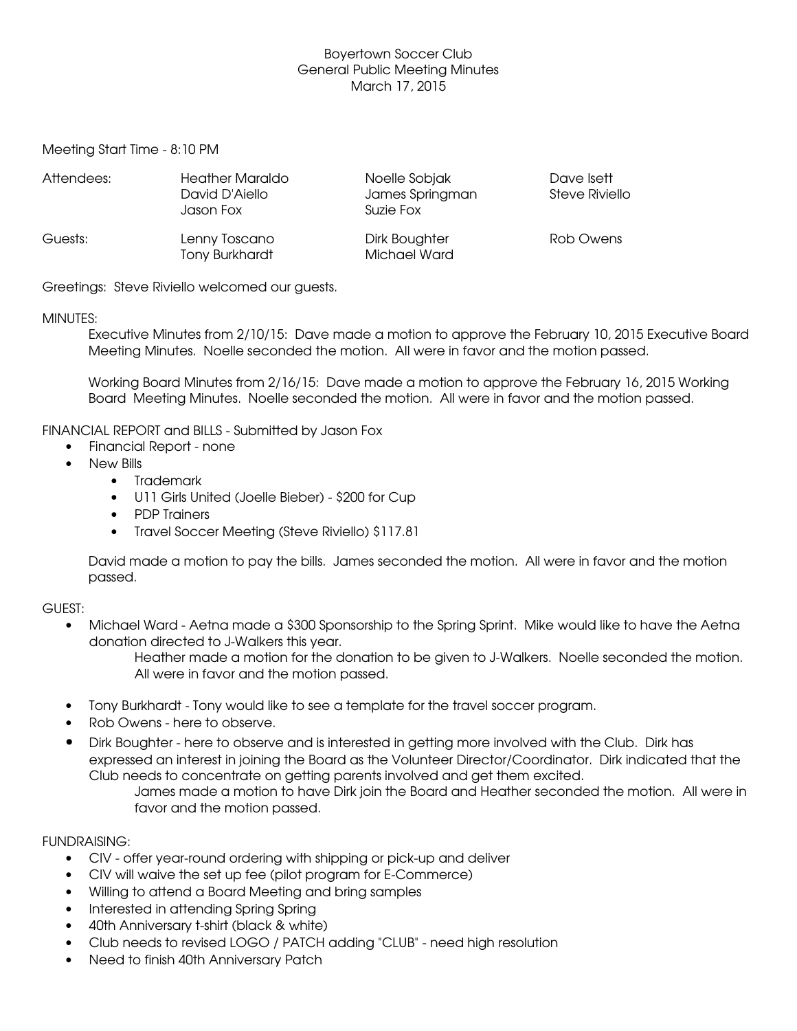# Boyertown Soccer Club General Public Meeting Minutes March 17, 2015

Meeting Start Time - 8:10 PM

| Attendees: | <b>Heather Maraldo</b><br>David D'Aiello<br>Jason Fox | Noelle Sobjak<br>James Springman<br>Suzie Fox | Dave Isett<br>Steve Riviello |
|------------|-------------------------------------------------------|-----------------------------------------------|------------------------------|
| Guests:    | Lenny Toscano<br><b>Tony Burkhardt</b>                | Dirk Boughter<br><b>Michael Ward</b>          | Rob Owens                    |

Greetings: Steve Riviello welcomed our guests.

### MINUTES:

Executive Minutes from 2/10/15: Dave made a motion to approve the February 10, 2015 Executive Board Meeting Minutes. Noelle seconded the motion. All were in favor and the motion passed.

Working Board Minutes from 2/16/15: Dave made a motion to approve the February 16, 2015 Working Board Meeting Minutes. Noelle seconded the motion. All were in favor and the motion passed.

# FINANCIAL REPORT and BILLS - Submitted by Jason Fox

- Financial Report none
- New Bills
	- Trademark
	- U11 Girls United (Joelle Bieber) \$200 for Cup
	- PDP Trainers
	- Travel Soccer Meeting (Steve Riviello) \$117.81

David made a motion to pay the bills. James seconded the motion. All were in favor and the motion passed.

### GUEST:

• Michael Ward - Aetna made a \$300 Sponsorship to the Spring Sprint. Mike would like to have the Aetna donation directed to J-Walkers this year.

Heather made a motion for the donation to be given to J-Walkers. Noelle seconded the motion. All were in favor and the motion passed.

- Tony Burkhardt Tony would like to see a template for the travel soccer program.
- Rob Owens here to observe.
- Dirk Boughter here to observe and is interested in getting more involved with the Club. Dirk has expressed an interest in joining the Board as the Volunteer Director/Coordinator. Dirk indicated that the Club needs to concentrate on getting parents involved and get them excited.

James made a motion to have Dirk join the Board and Heather seconded the motion. All were in favor and the motion passed.

### FUNDRAISING:

- CIV offer year-round ordering with shipping or pick-up and deliver
- CIV will waive the set up fee (pilot program for E-Commerce)
- Willing to attend a Board Meeting and bring samples
- Interested in attending Spring Spring
- 40th Anniversary t-shirt (black & white)
- Club needs to revised LOGO / PATCH adding "CLUB" need high resolution
- Need to finish 40th Anniversary Patch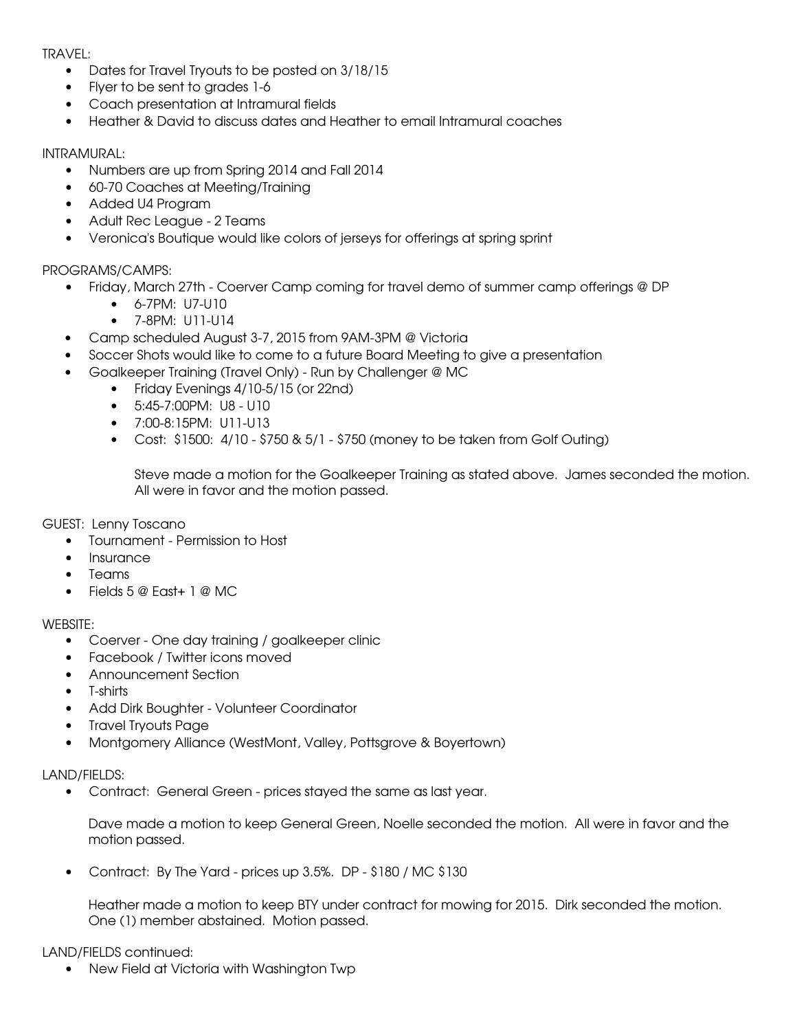TRAVEL:

- Dates for Travel Tryouts to be posted on 3/18/15
- Flyer to be sent to grades 1-6
- Coach presentation at Intramural fields
- Heather & David to discuss dates and Heather to email Intramural coaches

INTRAMURAL:

- Numbers are up from Spring 2014 and Fall 2014
- 60-70 Coaches at Meeting/Training
- Added U4 Program
- Adult Rec League 2 Teams
- Veronica's Boutique would like colors of jerseys for offerings at spring sprint

### PROGRAMS/CAMPS:

- Friday, March 27th Coerver Camp coming for travel demo of summer camp offerings @ DP
	- $6 7PM: 117-1110$
	- $\bullet$  7-8PM: U11-U14
- Camp scheduled August 3-7, 2015 from 9AM-3PM @ Victoria
- Soccer Shots would like to come to a future Board Meeting to give a presentation
- Goalkeeper Training (Travel Only) Run by Challenger @ MC
	- Friday Evenings 4/10-5/15 (or 22nd)
	- $\bullet$  5:45-7:00 PM: U8 U10
	- $\bullet$  7:00-8:15PM: U11-U13
	- Cost:  $$1500: 4/10 $750 \& 5/1 $750$  (money to be taken from Golf Outing)

Steve made a motion for the Goalkeeper Training as stated above. James seconded the motion. All were in favor and the motion passed.

GUEST: Lenny Toscano

- Tournament Permission to Host
- Insurance
- Teams
- $\bullet$  Fields 5 @ Fast+ 1 @ MC

WEBSITE:

- Coerver One day training / goalkeeper clinic
- Facebook / Twitter icons moved
- Announcement Section
- $\bullet$  T-shirts
- Add Dirk Boughter Volunteer Coordinator
- Travel Tryouts Page
- Montgomery Alliance (WestMont, Valley, Pottsgrove & Boyertown)

LAND/FIELDS:

• Contract: General Green - prices stayed the same as last year.

Dave made a motion to keep General Green, Noelle seconded the motion. All were in favor and the motion passed.

• Contract: By The Yard - prices up  $3.5\%$ . DP - \$180 / MC \$130

Heather made a motion to keep BTY under contract for mowing for 2015. Dirk seconded the motion. One (1) member abstained. Motion passed.

### LAND/FIELDS continued:

New Field at Victoria with Washington Twp